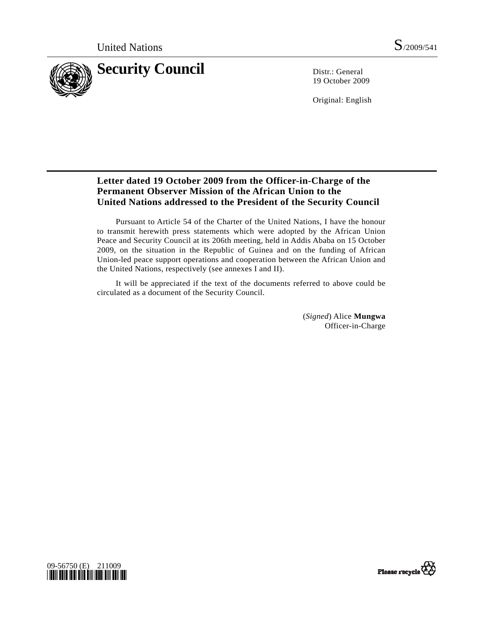

19 October 2009

Original: English

# **Letter dated 19 October 2009 from the Officer-in-Charge of the Permanent Observer Mission of the African Union to the United Nations addressed to the President of the Security Council**

 Pursuant to Article 54 of the Charter of the United Nations, I have the honour to transmit herewith press statements which were adopted by the African Union Peace and Security Council at its 206th meeting, held in Addis Ababa on 15 October 2009, on the situation in the Republic of Guinea and on the funding of African Union-led peace support operations and cooperation between the African Union and the United Nations, respectively (see annexes I and II).

 It will be appreciated if the text of the documents referred to above could be circulated as a document of the Security Council.

> (*Signed*) Alice **Mungwa**  Officer-in-Charge



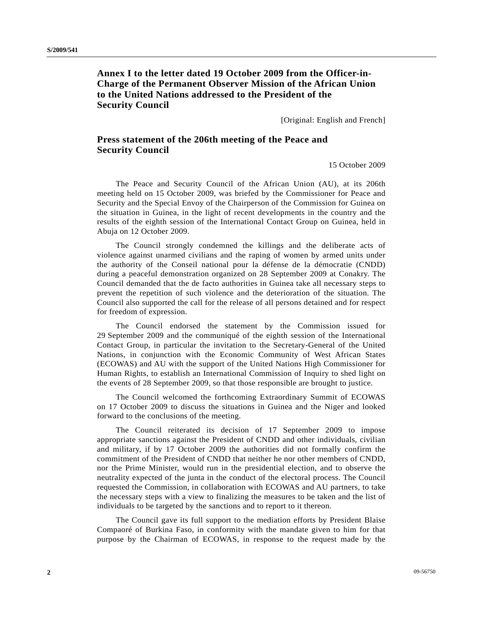## **Annex I to the letter dated 19 October 2009 from the Officer-in-Charge of the Permanent Observer Mission of the African Union to the United Nations addressed to the President of the Security Council**

[Original: English and French]

### **Press statement of the 206th meeting of the Peace and Security Council**

15 October 2009

 The Peace and Security Council of the African Union (AU), at its 206th meeting held on 15 October 2009, was briefed by the Commissioner for Peace and Security and the Special Envoy of the Chairperson of the Commission for Guinea on the situation in Guinea, in the light of recent developments in the country and the results of the eighth session of the International Contact Group on Guinea, held in Abuja on 12 October 2009.

 The Council strongly condemned the killings and the deliberate acts of violence against unarmed civilians and the raping of women by armed units under the authority of the Conseil national pour la défense de la démocratie (CNDD) during a peaceful demonstration organized on 28 September 2009 at Conakry. The Council demanded that the de facto authorities in Guinea take all necessary steps to prevent the repetition of such violence and the deterioration of the situation. The Council also supported the call for the release of all persons detained and for respect for freedom of expression.

 The Council endorsed the statement by the Commission issued for 29 September 2009 and the communiqué of the eighth session of the International Contact Group, in particular the invitation to the Secretary-General of the United Nations, in conjunction with the Economic Community of West African States (ECOWAS) and AU with the support of the United Nations High Commissioner for Human Rights, to establish an International Commission of Inquiry to shed light on the events of 28 September 2009, so that those responsible are brought to justice.

 The Council welcomed the forthcoming Extraordinary Summit of ECOWAS on 17 October 2009 to discuss the situations in Guinea and the Niger and looked forward to the conclusions of the meeting.

 The Council reiterated its decision of 17 September 2009 to impose appropriate sanctions against the President of CNDD and other individuals, civilian and military, if by 17 October 2009 the authorities did not formally confirm the commitment of the President of CNDD that neither he nor other members of CNDD, nor the Prime Minister, would run in the presidential election, and to observe the neutrality expected of the junta in the conduct of the electoral process. The Council requested the Commission, in collaboration with ECOWAS and AU partners, to take the necessary steps with a view to finalizing the measures to be taken and the list of individuals to be targeted by the sanctions and to report to it thereon.

 The Council gave its full support to the mediation efforts by President Blaise Compaoré of Burkina Faso, in conformity with the mandate given to him for that purpose by the Chairman of ECOWAS, in response to the request made by the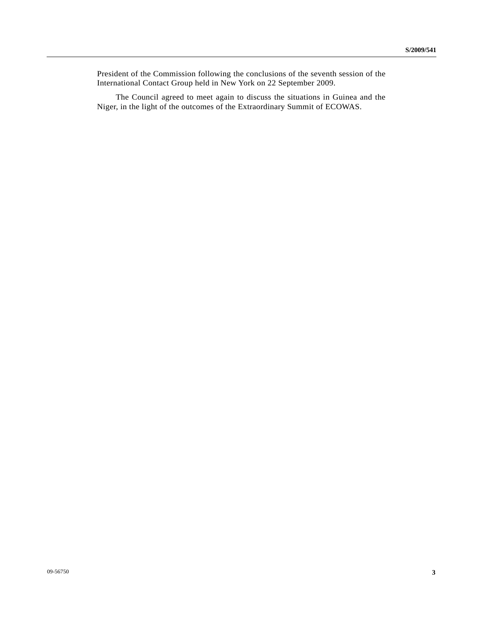President of the Commission following the conclusions of the seventh session of the International Contact Group held in New York on 22 September 2009.

 The Council agreed to meet again to discuss the situations in Guinea and the Niger, in the light of the outcomes of the Extraordinary Summit of ECOWAS.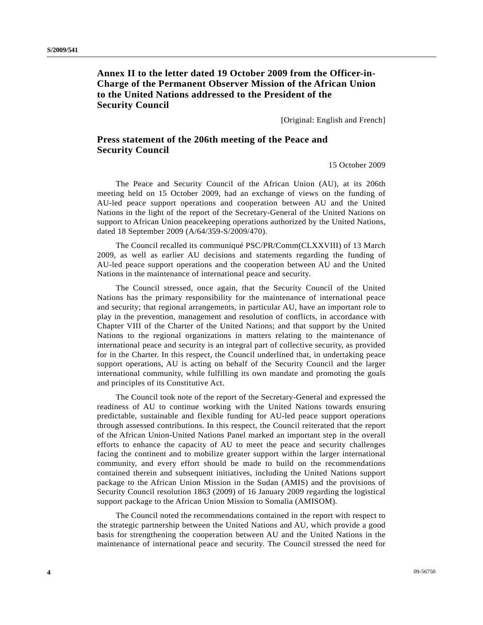## **Annex II to the letter dated 19 October 2009 from the Officer-in-Charge of the Permanent Observer Mission of the African Union to the United Nations addressed to the President of the Security Council**

[Original: English and French]

## **Press statement of the 206th meeting of the Peace and Security Council**

15 October 2009

 The Peace and Security Council of the African Union (AU), at its 206th meeting held on 15 October 2009, had an exchange of views on the funding of AU-led peace support operations and cooperation between AU and the United Nations in the light of the report of the Secretary-General of the United Nations on support to African Union peacekeeping operations authorized by the United Nations, dated 18 September 2009 (A/64/359-S/2009/470).

 The Council recalled its communiqué PSC/PR/Comm(CLXXVIII) of 13 March 2009, as well as earlier AU decisions and statements regarding the funding of AU-led peace support operations and the cooperation between AU and the United Nations in the maintenance of international peace and security.

 The Council stressed, once again, that the Security Council of the United Nations has the primary responsibility for the maintenance of international peace and security; that regional arrangements, in particular AU, have an important role to play in the prevention, management and resolution of conflicts, in accordance with Chapter VIII of the Charter of the United Nations; and that support by the United Nations to the regional organizations in matters relating to the maintenance of international peace and security is an integral part of collective security, as provided for in the Charter. In this respect, the Council underlined that, in undertaking peace support operations, AU is acting on behalf of the Security Council and the larger international community, while fulfilling its own mandate and promoting the goals and principles of its Constitutive Act.

 The Council took note of the report of the Secretary-General and expressed the readiness of AU to continue working with the United Nations towards ensuring predictable, sustainable and flexible funding for AU-led peace support operations through assessed contributions. In this respect, the Council reiterated that the report of the African Union-United Nations Panel marked an important step in the overall efforts to enhance the capacity of AU to meet the peace and security challenges facing the continent and to mobilize greater support within the larger international community, and every effort should be made to build on the recommendations contained therein and subsequent initiatives, including the United Nations support package to the African Union Mission in the Sudan (AMIS) and the provisions of Security Council resolution 1863 (2009) of 16 January 2009 regarding the logistical support package to the African Union Mission to Somalia (AMISOM).

 The Council noted the recommendations contained in the report with respect to the strategic partnership between the United Nations and AU, which provide a good basis for strengthening the cooperation between AU and the United Nations in the maintenance of international peace and security. The Council stressed the need for